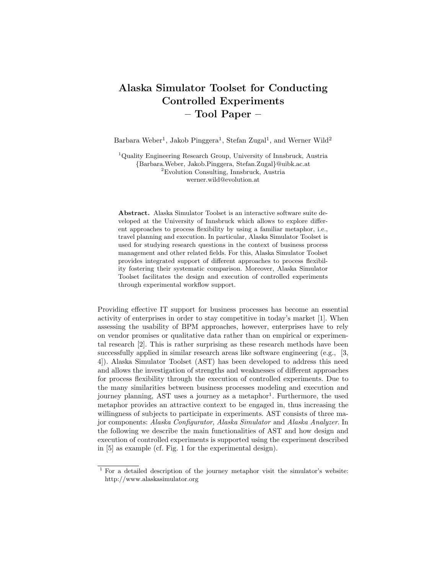## Alaska Simulator Toolset for Conducting Controlled Experiments – Tool Paper –

Barbara Weber<sup>1</sup>, Jakob Pinggera<sup>1</sup>, Stefan Zugal<sup>1</sup>, and Werner Wild<sup>2</sup>

<sup>1</sup>Quality Engineering Research Group, University of Innsbruck, Austria {Barbara.Weber, Jakob.Pinggera, Stefan.Zugal}@uibk.ac.at <sup>2</sup>Evolution Consulting, Innsbruck, Austria werner.wild@evolution.at

Abstract. Alaska Simulator Toolset is an interactive software suite developed at the University of Innsbruck which allows to explore different approaches to process flexibility by using a familiar metaphor, i.e., travel planning and execution. In particular, Alaska Simulator Toolset is used for studying research questions in the context of business process management and other related fields. For this, Alaska Simulator Toolset provides integrated support of different approaches to process flexibility fostering their systematic comparison. Moreover, Alaska Simulator Toolset facilitates the design and execution of controlled experiments through experimental workflow support.

Providing effective IT support for business processes has become an essential activity of enterprises in order to stay competitive in today's market [1]. When assessing the usability of BPM approaches, however, enterprises have to rely on vendor promises or qualitative data rather than on empirical or experimental research [2]. This is rather surprising as these research methods have been successfully applied in similar research areas like software engineering (e.g., [3, 4]). Alaska Simulator Toolset (AST) has been developed to address this need and allows the investigation of strengths and weaknesses of different approaches for process flexibility through the execution of controlled experiments. Due to the many similarities between business processes modeling and execution and journey planning, AST uses a journey as a metaphor<sup>1</sup>. Furthermore, the used metaphor provides an attractive context to be engaged in, thus increasing the willingness of subjects to participate in experiments. AST consists of three major components: Alaska Configurator, Alaska Simulator and Alaska Analyzer. In the following we describe the main functionalities of AST and how design and execution of controlled experiments is supported using the experiment described in [5] as example (cf. Fig. 1 for the experimental design).

 $1$  For a detailed description of the journey metaphor visit the simulator's website: http://www.alaskasimulator.org